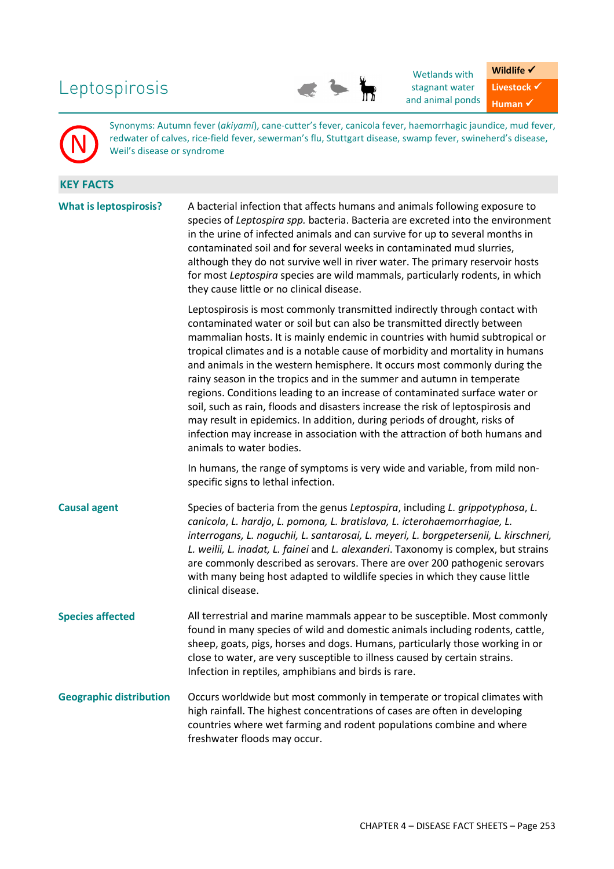# Leptospirosis



Wetlands with stagnant water and animal ponds **Wildlife** √ Livestock  $\checkmark$ **Human** ✔

Synonyms: Autumn fever (*akiyami*), cane-cutter's fever, canicola fever, haemorrhagic jaundice, mud fever, redwater of calves, rice-field fever, sewerman's flu, Stuttgart disease, swamp fever, swineherd's disease, Weil's disease or syndrome

| <b>KEY FACTS</b> |
|------------------|
|                  |

N

| <b>What is leptospirosis?</b>  | A bacterial infection that affects humans and animals following exposure to<br>species of Leptospira spp. bacteria. Bacteria are excreted into the environment<br>in the urine of infected animals and can survive for up to several months in<br>contaminated soil and for several weeks in contaminated mud slurries,<br>although they do not survive well in river water. The primary reservoir hosts<br>for most Leptospira species are wild mammals, particularly rodents, in which<br>they cause little or no clinical disease.                                                                                                                                                                                                                                                                                                   |
|--------------------------------|-----------------------------------------------------------------------------------------------------------------------------------------------------------------------------------------------------------------------------------------------------------------------------------------------------------------------------------------------------------------------------------------------------------------------------------------------------------------------------------------------------------------------------------------------------------------------------------------------------------------------------------------------------------------------------------------------------------------------------------------------------------------------------------------------------------------------------------------|
|                                | Leptospirosis is most commonly transmitted indirectly through contact with<br>contaminated water or soil but can also be transmitted directly between<br>mammalian hosts. It is mainly endemic in countries with humid subtropical or<br>tropical climates and is a notable cause of morbidity and mortality in humans<br>and animals in the western hemisphere. It occurs most commonly during the<br>rainy season in the tropics and in the summer and autumn in temperate<br>regions. Conditions leading to an increase of contaminated surface water or<br>soil, such as rain, floods and disasters increase the risk of leptospirosis and<br>may result in epidemics. In addition, during periods of drought, risks of<br>infection may increase in association with the attraction of both humans and<br>animals to water bodies. |
|                                | In humans, the range of symptoms is very wide and variable, from mild non-<br>specific signs to lethal infection.                                                                                                                                                                                                                                                                                                                                                                                                                                                                                                                                                                                                                                                                                                                       |
| <b>Causal agent</b>            | Species of bacteria from the genus Leptospira, including L. grippotyphosa, L.<br>canicola, L. hardjo, L. pomona, L. bratislava, L. icterohaemorrhagiae, L.<br>interrogans, L. noguchii, L. santarosai, L. meyeri, L. borgpetersenii, L. kirschneri,<br>L. weilii, L. inadat, L. fainei and L. alexanderi. Taxonomy is complex, but strains<br>are commonly described as serovars. There are over 200 pathogenic serovars<br>with many being host adapted to wildlife species in which they cause little<br>clinical disease.                                                                                                                                                                                                                                                                                                            |
| <b>Species affected</b>        | All terrestrial and marine mammals appear to be susceptible. Most commonly<br>found in many species of wild and domestic animals including rodents, cattle,<br>sheep, goats, pigs, horses and dogs. Humans, particularly those working in or<br>close to water, are very susceptible to illness caused by certain strains.<br>Infection in reptiles, amphibians and birds is rare.                                                                                                                                                                                                                                                                                                                                                                                                                                                      |
| <b>Geographic distribution</b> | Occurs worldwide but most commonly in temperate or tropical climates with<br>high rainfall. The highest concentrations of cases are often in developing<br>countries where wet farming and rodent populations combine and where<br>freshwater floods may occur.                                                                                                                                                                                                                                                                                                                                                                                                                                                                                                                                                                         |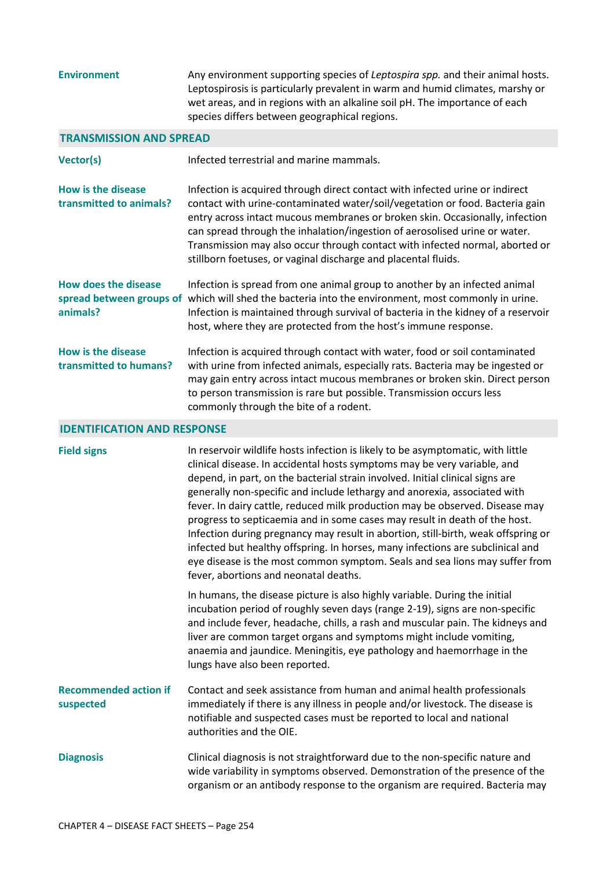| <b>Environment</b>                                   | Any environment supporting species of Leptospira spp. and their animal hosts.<br>Leptospirosis is particularly prevalent in warm and humid climates, marshy or<br>wet areas, and in regions with an alkaline soil pH. The importance of each<br>species differs between geographical regions.                                                                                                                                                                                                                                                                                                                                                                                                                                                                                          |
|------------------------------------------------------|----------------------------------------------------------------------------------------------------------------------------------------------------------------------------------------------------------------------------------------------------------------------------------------------------------------------------------------------------------------------------------------------------------------------------------------------------------------------------------------------------------------------------------------------------------------------------------------------------------------------------------------------------------------------------------------------------------------------------------------------------------------------------------------|
| <b>TRANSMISSION AND SPREAD</b>                       |                                                                                                                                                                                                                                                                                                                                                                                                                                                                                                                                                                                                                                                                                                                                                                                        |
| <b>Vector(s)</b>                                     | Infected terrestrial and marine mammals.                                                                                                                                                                                                                                                                                                                                                                                                                                                                                                                                                                                                                                                                                                                                               |
| <b>How is the disease</b><br>transmitted to animals? | Infection is acquired through direct contact with infected urine or indirect<br>contact with urine-contaminated water/soil/vegetation or food. Bacteria gain<br>entry across intact mucous membranes or broken skin. Occasionally, infection<br>can spread through the inhalation/ingestion of aerosolised urine or water.<br>Transmission may also occur through contact with infected normal, aborted or<br>stillborn foetuses, or vaginal discharge and placental fluids.                                                                                                                                                                                                                                                                                                           |
| <b>How does the disease</b><br>animals?              | Infection is spread from one animal group to another by an infected animal<br>spread between groups of which will shed the bacteria into the environment, most commonly in urine.<br>Infection is maintained through survival of bacteria in the kidney of a reservoir<br>host, where they are protected from the host's immune response.                                                                                                                                                                                                                                                                                                                                                                                                                                              |
| <b>How is the disease</b><br>transmitted to humans?  | Infection is acquired through contact with water, food or soil contaminated<br>with urine from infected animals, especially rats. Bacteria may be ingested or<br>may gain entry across intact mucous membranes or broken skin. Direct person<br>to person transmission is rare but possible. Transmission occurs less<br>commonly through the bite of a rodent.                                                                                                                                                                                                                                                                                                                                                                                                                        |
| <b>IDENTIFICATION AND RESPONSE</b>                   |                                                                                                                                                                                                                                                                                                                                                                                                                                                                                                                                                                                                                                                                                                                                                                                        |
| <b>Field signs</b>                                   | In reservoir wildlife hosts infection is likely to be asymptomatic, with little<br>clinical disease. In accidental hosts symptoms may be very variable, and<br>depend, in part, on the bacterial strain involved. Initial clinical signs are<br>generally non-specific and include lethargy and anorexia, associated with<br>fever. In dairy cattle, reduced milk production may be observed. Disease may<br>progress to septicaemia and in some cases may result in death of the host.<br>Infection during pregnancy may result in abortion, still-birth, weak offspring or<br>infected but healthy offspring. In horses, many infections are subclinical and<br>eye disease is the most common symptom. Seals and sea lions may suffer from<br>fever, abortions and neonatal deaths. |
|                                                      | In humans, the disease picture is also highly variable. During the initial<br>incubation period of roughly seven days (range 2-19), signs are non-specific<br>and include fever, headache, chills, a rash and muscular pain. The kidneys and<br>liver are common target organs and symptoms might include vomiting,<br>anaemia and jaundice. Meningitis, eye pathology and haemorrhage in the<br>lungs have also been reported.                                                                                                                                                                                                                                                                                                                                                        |
| <b>Recommended action if</b><br>suspected            | Contact and seek assistance from human and animal health professionals<br>immediately if there is any illness in people and/or livestock. The disease is<br>notifiable and suspected cases must be reported to local and national<br>authorities and the OIE.                                                                                                                                                                                                                                                                                                                                                                                                                                                                                                                          |
| <b>Diagnosis</b>                                     | Clinical diagnosis is not straightforward due to the non-specific nature and<br>wide variability in symptoms observed. Demonstration of the presence of the<br>organism or an antibody response to the organism are required. Bacteria may                                                                                                                                                                                                                                                                                                                                                                                                                                                                                                                                             |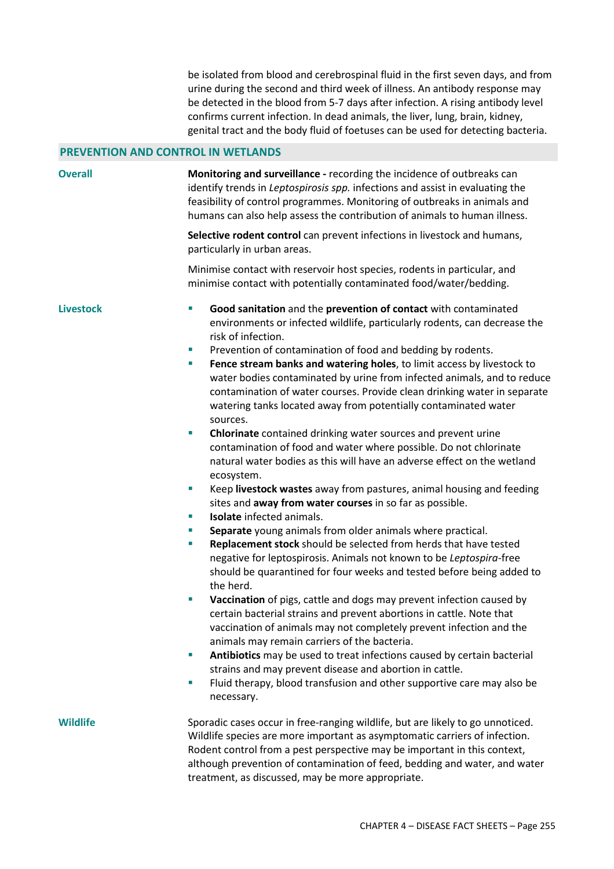be isolated from blood and cerebrospinal fluid in the first seven days, and from urine during the second and third week of illness. An antibody response may be detected in the blood from 5-7 days after infection. A rising antibody level confirms current infection. In dead animals, the liver, lung, brain, kidney, genital tract and the body fluid of foetuses can be used for detecting bacteria.

### **PREVENTION AND CONTROL IN WETLANDS**

**Overall Monitoring and surveillance -** recording the incidence of outbreaks can identify trends in *Leptospirosis spp.* infections and assist in evaluating the feasibility of control programmes. Monitoring of outbreaks in animals and humans can also help assess the contribution of animals to human illness. **Selective rodent control** can prevent infections in livestock and humans, particularly in urban areas.

> Minimise contact with reservoir host species, rodents in particular, and minimise contact with potentially contaminated food/water/bedding.

- **Livestock Good sanitation** and the **prevention of contact** with contaminated environments or infected wildlife, particularly rodents, can decrease the risk of infection.
	- **Prevention of contamination of food and bedding by rodents.**
	- **Fence stream banks and watering holes**, to limit access by livestock to water bodies contaminated by urine from infected animals, and to reduce contamination of water courses. Provide clean drinking water in separate watering tanks located away from potentially contaminated water sources.
	- **Chlorinate** contained drinking water sources and prevent urine contamination of food and water where possible. Do not chlorinate natural water bodies as this will have an adverse effect on the wetland ecosystem.
	- Keep **livestock wastes** away from pastures, animal housing and feeding sites and **away from water courses** in so far as possible.
	- **Isolate** infected animals.
	- **Separate** young animals from older animals where practical.
	- **Replacement stock** should be selected from herds that have tested negative for leptospirosis. Animals not known to be *Leptospira*-free should be quarantined for four weeks and tested before being added to the herd.
	- **Vaccination** of pigs, cattle and dogs may prevent infection caused by certain bacterial strains and prevent abortions in cattle. Note that vaccination of animals may not completely prevent infection and the animals may remain carriers of the bacteria.
	- **Antibiotics** may be used to treat infections caused by certain bacterial strains and may prevent disease and abortion in cattle.
	- Fluid therapy, blood transfusion and other supportive care may also be necessary.

**Wildlife** Sporadic cases occur in free-ranging wildlife, but are likely to go unnoticed. Wildlife species are more important as asymptomatic carriers of infection. Rodent control from a pest perspective may be important in this context, although prevention of contamination of feed, bedding and water, and water treatment, as discussed, may be more appropriate.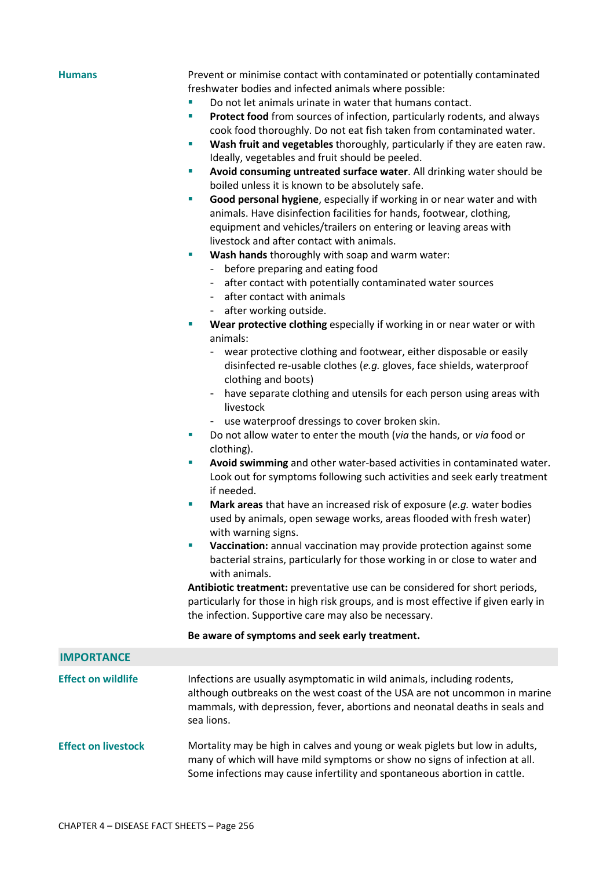**Humans** Prevent or minimise contact with contaminated or potentially contaminated freshwater bodies and infected animals where possible:

- Do not let animals urinate in water that humans contact.
- **Protect food** from sources of infection, particularly rodents, and always cook food thoroughly. Do not eat fish taken from contaminated water.
- **Wash fruit and vegetables** thoroughly, particularly if they are eaten raw. Ideally, vegetables and fruit should be peeled.
- **Avoid consuming untreated surface water**. All drinking water should be boiled unless it is known to be absolutely safe.
- **Good personal hygiene**, especially if working in or near water and with animals. Have disinfection facilities for hands, footwear, clothing, equipment and vehicles/trailers on entering or leaving areas with livestock and after contact with animals.
- **Wash hands** thoroughly with soap and warm water:
	- before preparing and eating food
	- after contact with potentially contaminated water sources
	- after contact with animals
	- after working outside.
- **Wear protective clothing** especially if working in or near water or with animals:
	- wear protective clothing and footwear, either disposable or easily disinfected re-usable clothes (*e.g.* gloves, face shields, waterproof clothing and boots)
	- have separate clothing and utensils for each person using areas with livestock
	- use waterproof dressings to cover broken skin.
- Do not allow water to enter the mouth (*via* the hands, or *via* food or clothing).
- **Avoid swimming** and other water-based activities in contaminated water. Look out for symptoms following such activities and seek early treatment if needed.
- **Mark areas** that have an increased risk of exposure (*e.g.* water bodies used by animals, open sewage works, areas flooded with fresh water) with warning signs.
- **Vaccination:** annual vaccination may provide protection against some bacterial strains, particularly for those working in or close to water and with animals.

**Antibiotic treatment:** preventative use can be considered for short periods, particularly for those in high risk groups, and is most effective if given early in the infection. Supportive care may also be necessary.

## **Be aware of symptoms and seek early treatment.**

| <b>IMPORTANCE</b>          |                                                                                                                                                                                                                                                    |
|----------------------------|----------------------------------------------------------------------------------------------------------------------------------------------------------------------------------------------------------------------------------------------------|
|                            |                                                                                                                                                                                                                                                    |
| <b>Effect on wildlife</b>  | Infections are usually asymptomatic in wild animals, including rodents,<br>although outbreaks on the west coast of the USA are not uncommon in marine<br>mammals, with depression, fever, abortions and neonatal deaths in seals and<br>sea lions. |
| <b>Effect on livestock</b> | Mortality may be high in calves and young or weak piglets but low in adults,<br>many of which will have mild symptoms or show no signs of infection at all.<br>Some infections may cause infertility and spontaneous abortion in cattle.           |